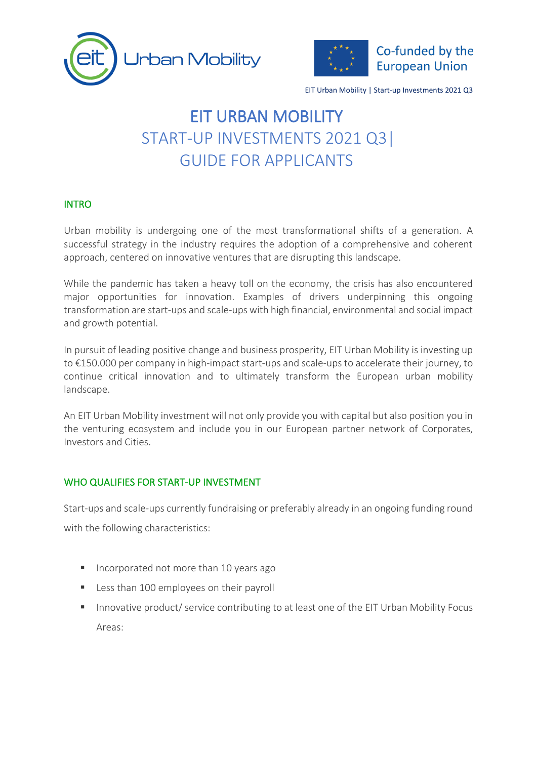



# EIT URBAN MOBILITY START-UP INVESTMENTS 2021 Q3| GUIDE FOR APPLICANTS

#### INTRO

Urban mobility is undergoing one of the most transformational shifts of a generation. A successful strategy in the industry requires the adoption of a comprehensive and coherent approach, centered on innovative ventures that are disrupting this landscape.

While the pandemic has taken a heavy toll on the economy, the crisis has also encountered major opportunities for innovation. Examples of drivers underpinning this ongoing transformation are start-ups and scale-ups with high financial, environmental and social impact and growth potential.

In pursuit of leading positive change and business prosperity, EIT Urban Mobility is investing up to €150.000 per company in high-impact start-ups and scale-ups to accelerate their journey, to continue critical innovation and to ultimately transform the European urban mobility landscape.

An EIT Urban Mobility investment will not only provide you with capital but also position you in the venturing ecosystem and include you in our European partner network of Corporates, Investors and Cities.

### WHO QUALIFIES FOR START-UP INVESTMENT

Start-ups and scale-ups currently fundraising or preferably already in an ongoing funding round with the following characteristics:

- Incorporated not more than 10 years ago
- Less than 100 employees on their payroll
- Innovative product/ service contributing to at least one of the EIT Urban Mobility Focus Areas: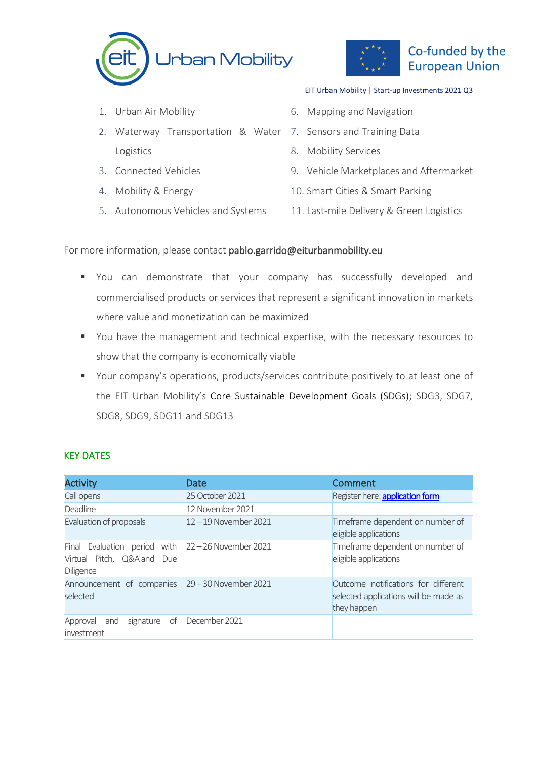



- 1. Urban Air Mobility
- 2. Waterway Transportation & Water 7. Sensors and Training Data Logistics
- 3. Connected Vehicles
- 4. Mobility & Energy
- 5. Autonomous Vehicles and Systems

- 6. Mapping and Navigation
- 
- 8. Mobility Services
- 9. Vehicle Marketplaces and Aftermarket
- 10. Smart Cities & Smart Parking
- 11. Last-mile Delivery & Green Logistics

#### For more information, please contact pablo.garrido@eiturbanmobility.eu

- You can demonstrate that your company has successfully developed and commercialised products or services that represent a significant innovation in markets where value and monetization can be maximized
- You have the management and technical expertise, with the necessary resources to show that the company is economically viable
- Your company's operations, products/services contribute positively to at least one of the EIT Urban Mobility's Core Sustainable Development Goals (SDGs); SDG3, SDG7, SDG8, SDG9, SDG11 and SDG13

### KEY DATES

| <b>Activity</b>                                                                                         | Date                    | Comment                                                                                     |
|---------------------------------------------------------------------------------------------------------|-------------------------|---------------------------------------------------------------------------------------------|
| Call opens                                                                                              | 25 October 2021         | Register here: application form                                                             |
| <b>Deadline</b>                                                                                         | 12 November 2021        |                                                                                             |
| Evaluation of proposals                                                                                 | $12 - 19$ November 2021 | Timeframe dependent on number of<br>eligible applications                                   |
| Final Evaluation period with $ 22 - 26$ November 2021<br>Virtual Pitch, Q&A and Due<br><b>Diligence</b> |                         | Timeframe dependent on number of<br>eligible applications                                   |
| Announcement of companies 29-30 November 2021<br>selected                                               |                         | Outcome notifications for different<br>selected applications will be made as<br>they happen |
| signature of<br>Approval<br>and<br>investment                                                           | December 2021           |                                                                                             |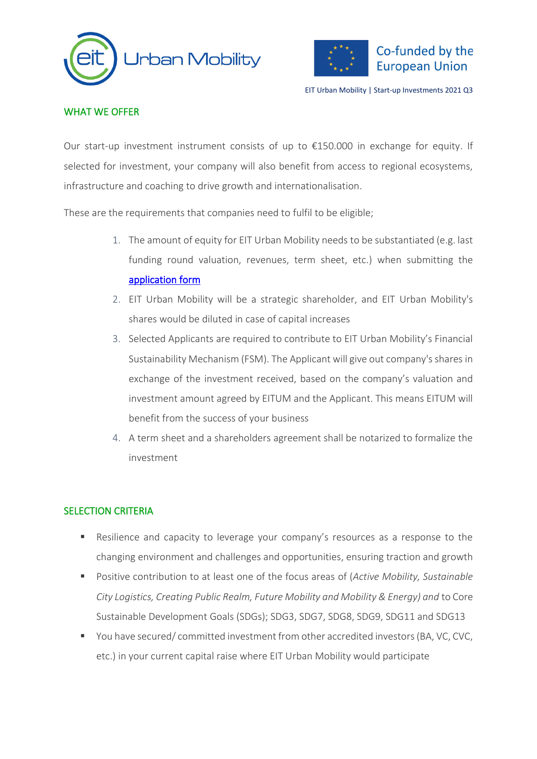



# WHAT WE OFFER

Our start-up investment instrument consists of up to  $£150.000$  in exchange for equity. If selected for investment, your company will also benefit from access to regional ecosystems, infrastructure and coaching to drive growth and internationalisation.

These are the requirements that companies need to fulfil to be eligible;

- 1. The amount of equity for EIT Urban Mobility needs to be substantiated (e.g. last funding round valuation, revenues, term sheet, etc.) when submitting the [application form](https://eiturbanmobility.awardsplatform.com/dashboard)
- 2. EIT Urban Mobility will be a strategic shareholder, and EIT Urban Mobility's shares would be diluted in case of capital increases
- 3. Selected Applicants are required to contribute to EIT Urban Mobility's Financial Sustainability Mechanism (FSM). The Applicant will give out company's shares in exchange of the investment received, based on the company's valuation and investment amount agreed by EITUM and the Applicant. This means EITUM will benefit from the success of your business
- 4. A term sheet and a shareholders agreement shall be notarized to formalize the investment

### SELECTION CRITERIA

- Resilience and capacity to leverage your company's resources as a response to the changing environment and challenges and opportunities, ensuring traction and growth
- Positive contribution to at least one of the focus areas of (*Active Mobility, Sustainable City Logistics, Creating Public Realm, Future Mobility and Mobility & Energy) and* to Core Sustainable Development Goals (SDGs); SDG3, SDG7, SDG8, SDG9, SDG11 and SDG13
- You have secured/ committed investment from other accredited investors (BA, VC, CVC, etc.) in your current capital raise where EIT Urban Mobility would participate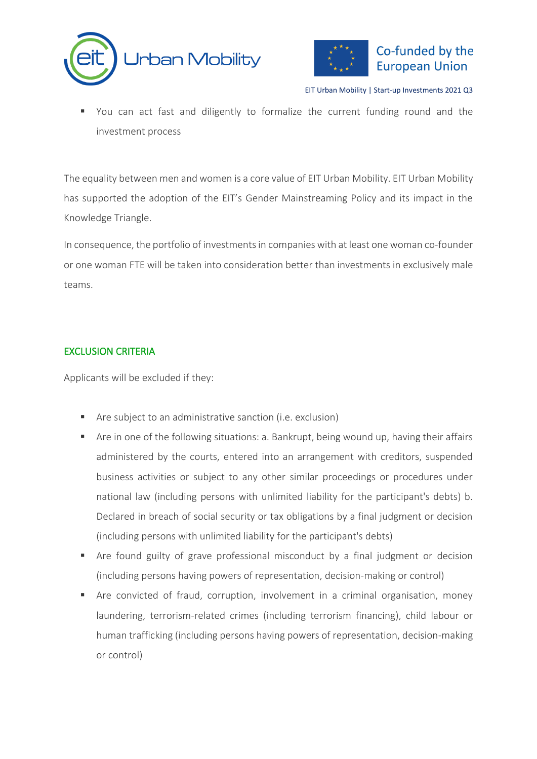



■ You can act fast and diligently to formalize the current funding round and the investment process

The equality between men and women is a core value of EIT Urban Mobility. EIT Urban Mobility has supported the adoption of the EIT's Gender Mainstreaming Policy and its impact in the Knowledge Triangle.

In consequence, the portfolio of investments in companies with at least one woman co-founder or one woman FTE will be taken into consideration better than investments in exclusively male teams.

# EXCLUSION CRITERIA

Applicants will be excluded if they:

- Are subject to an administrative sanction (i.e. exclusion)
- Are in one of the following situations: a. Bankrupt, being wound up, having their affairs administered by the courts, entered into an arrangement with creditors, suspended business activities or subject to any other similar proceedings or procedures under national law (including persons with unlimited liability for the participant's debts) b. Declared in breach of social security or tax obligations by a final judgment or decision (including persons with unlimited liability for the participant's debts)
- **E** Are found guilty of grave professional misconduct by a final judgment or decision (including persons having powers of representation, decision-making or control)
- Are convicted of fraud, corruption, involvement in a criminal organisation, money laundering, terrorism-related crimes (including terrorism financing), child labour or human trafficking (including persons having powers of representation, decision-making or control)